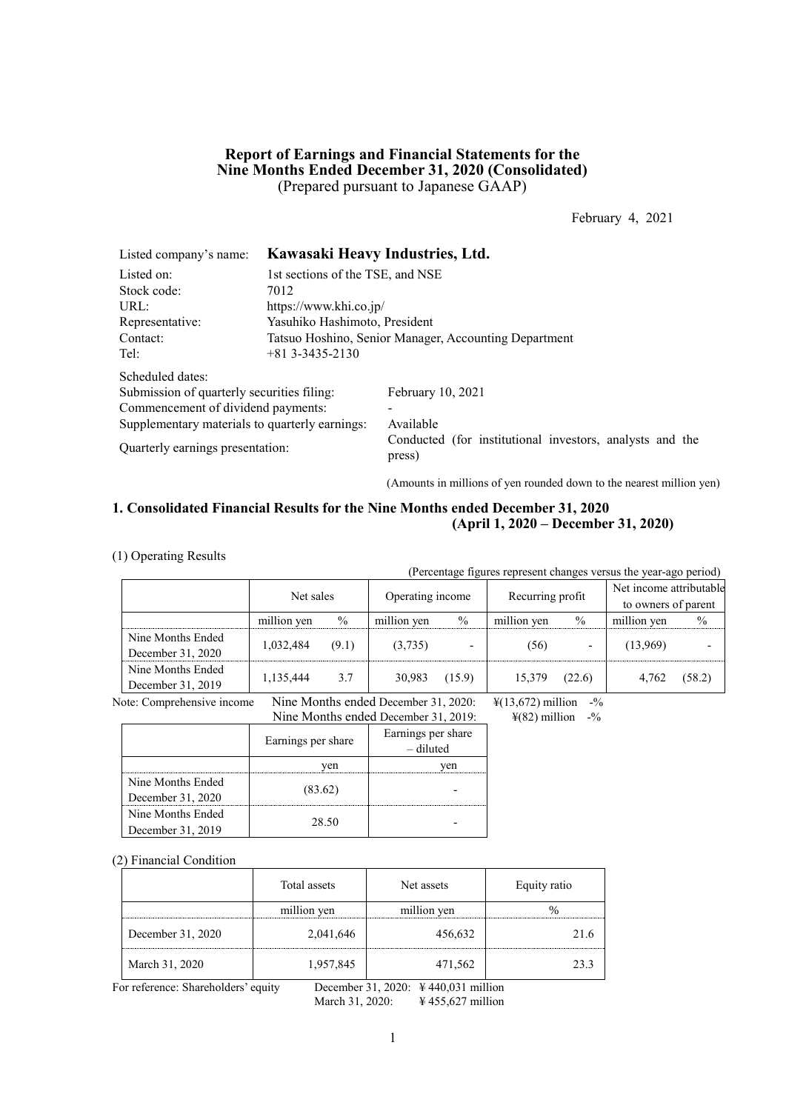## **Report of Earnings and Financial Statements for the Nine Months Ended December 31, 2020 (Consolidated)** (Prepared pursuant to Japanese GAAP)

February 4, 2021

| Listed company's name:                         |                                                       | Kawasaki Heavy Industries, Ltd.                                    |  |  |  |
|------------------------------------------------|-------------------------------------------------------|--------------------------------------------------------------------|--|--|--|
| Listed on:                                     | 1st sections of the TSE, and NSE                      |                                                                    |  |  |  |
| Stock code:                                    | 7012                                                  |                                                                    |  |  |  |
| URL:                                           | https://www.khi.co.jp/                                |                                                                    |  |  |  |
| Representative:                                | Yasuhiko Hashimoto, President                         |                                                                    |  |  |  |
| Contact:                                       | Tatsuo Hoshino, Senior Manager, Accounting Department |                                                                    |  |  |  |
| Tel:                                           | $+81$ 3-3435-2130                                     |                                                                    |  |  |  |
| Scheduled dates:                               |                                                       |                                                                    |  |  |  |
| Submission of quarterly securities filing:     |                                                       | February 10, 2021                                                  |  |  |  |
| Commencement of dividend payments:             |                                                       |                                                                    |  |  |  |
| Supplementary materials to quarterly earnings: |                                                       | Available                                                          |  |  |  |
| Quarterly earnings presentation:               |                                                       | Conducted (for institutional investors, analysts and the<br>press) |  |  |  |

(Amounts in millions of yen rounded down to the nearest million yen)

## **1. Consolidated Financial Results for the Nine Months ended December 31, 2020 (April 1, 2020 – December 31, 2020)**

(1) Operating Results

(Percentage figures represent changes versus the year-ago period)

|                   | Net sales   |       | Operating income |                          | Recurring profit |               | Net income attributable<br>to owners of parent |               |
|-------------------|-------------|-------|------------------|--------------------------|------------------|---------------|------------------------------------------------|---------------|
|                   | million yen | $\%$  | million ven      | $\frac{0}{0}$            | million yen      | $\frac{0}{0}$ | million yen                                    | $\frac{0}{0}$ |
| Nine Months Ended | 1,032,484   | (9.1) | (3,735)          | $\overline{\phantom{0}}$ | (56)             |               | (13,969)                                       |               |
| December 31, 2020 |             |       |                  |                          |                  |               |                                                |               |
| Nine Months Ended | 1,135,444   | 3.7   | 30,983           | (15.9)                   | 15.379           | (22.6)        | 4.762                                          | (58.2)        |
| December 31, 2019 |             |       |                  |                          |                  |               |                                                |               |

Note: Comprehensive income Nine Months ended December 31, 2020:  $\frac{\frac{1}{2}(13,672)}{4(82)}$  million -%<br>Nine Months ended December 31, 2019:  $\frac{4(82)}{100}$  -% Nine Months ended December 31, 2019:

| ININE MONUS ENGEG December 31, 2019:   |                    |                                 |  |  |
|----------------------------------------|--------------------|---------------------------------|--|--|
|                                        | Earnings per share | Earnings per share<br>- diluted |  |  |
|                                        | ven                | ven                             |  |  |
| Nine Months Ended<br>December 31, 2020 | (83.62)            |                                 |  |  |
| Nine Months Ended<br>December 31, 2019 | 28.50              |                                 |  |  |

#### (2) Financial Condition

|                   | Total assets | Net assets  | Equity ratio |
|-------------------|--------------|-------------|--------------|
|                   | million yen  | million yen |              |
| December 31, 2020 | 2,041,646    | 456,632     |              |
| March 31, 2020    | 1,957,845    | 471,562     | 73 Z         |

For reference: Shareholders' equity December 31, 2020: ¥ 440,031 million

March 31, 2020: ¥ 455,627 million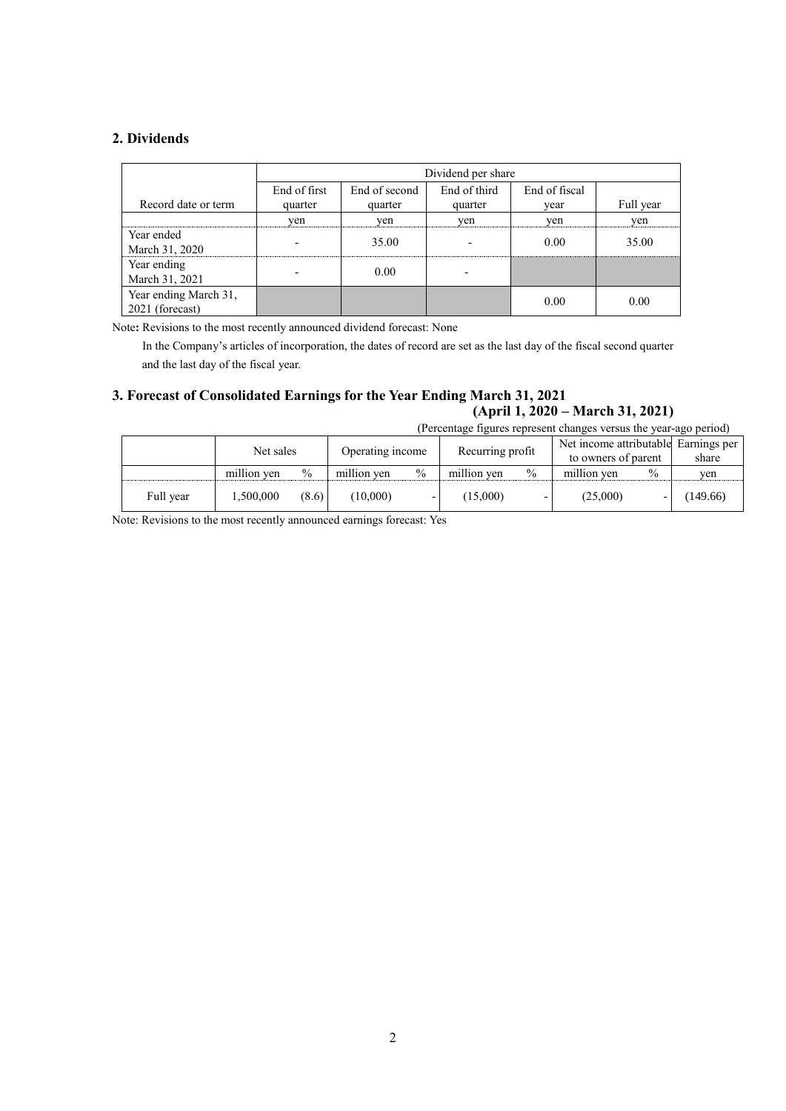## **2. Dividends**

|                       | Dividend per share |               |               |      |           |  |  |
|-----------------------|--------------------|---------------|---------------|------|-----------|--|--|
|                       | End of first       | End of second | End of fiscal |      |           |  |  |
| Record date or term   | quarter            | quarter       | quarter       | vear | Full year |  |  |
|                       | ven                | ven           | yen           | ven  | yen       |  |  |
| Year ended            |                    | 35.00         |               | 0.00 | 35.00     |  |  |
| March 31, 2020        |                    |               |               |      |           |  |  |
| Year ending           |                    | 0.00          |               |      |           |  |  |
| March 31, 2021        |                    |               |               |      |           |  |  |
| Year ending March 31, |                    |               |               | 0.00 | 0.00      |  |  |
| 2021 (forecast)       |                    |               |               |      |           |  |  |

Note**:** Revisions to the most recently announced dividend forecast: None

In the Company's articles of incorporation, the dates of record are set as the last day of the fiscal second quarter and the last day of the fiscal year.

# **3. Forecast of Consolidated Earnings for the Year Ending March 31, 2021 (April 1, 2020 – March 31, 2021)**

(Percentage figures represent changes versus the year-ago period)

|           | Net sales   |               | Operating income |               | Recurring profit |               | Net income attributable Earnings per<br>to owners of parent |      | share    |
|-----------|-------------|---------------|------------------|---------------|------------------|---------------|-------------------------------------------------------------|------|----------|
|           | million ven | $\frac{0}{0}$ | million ven      | $\frac{0}{0}$ | million yen      | $\frac{0}{0}$ | million yen                                                 | $\%$ | yen      |
| Full year | .500,000    | (8.6)         | (10,000)         |               | (15,000)         |               | (25,000)                                                    |      | (149.66) |

Note: Revisions to the most recently announced earnings forecast: Yes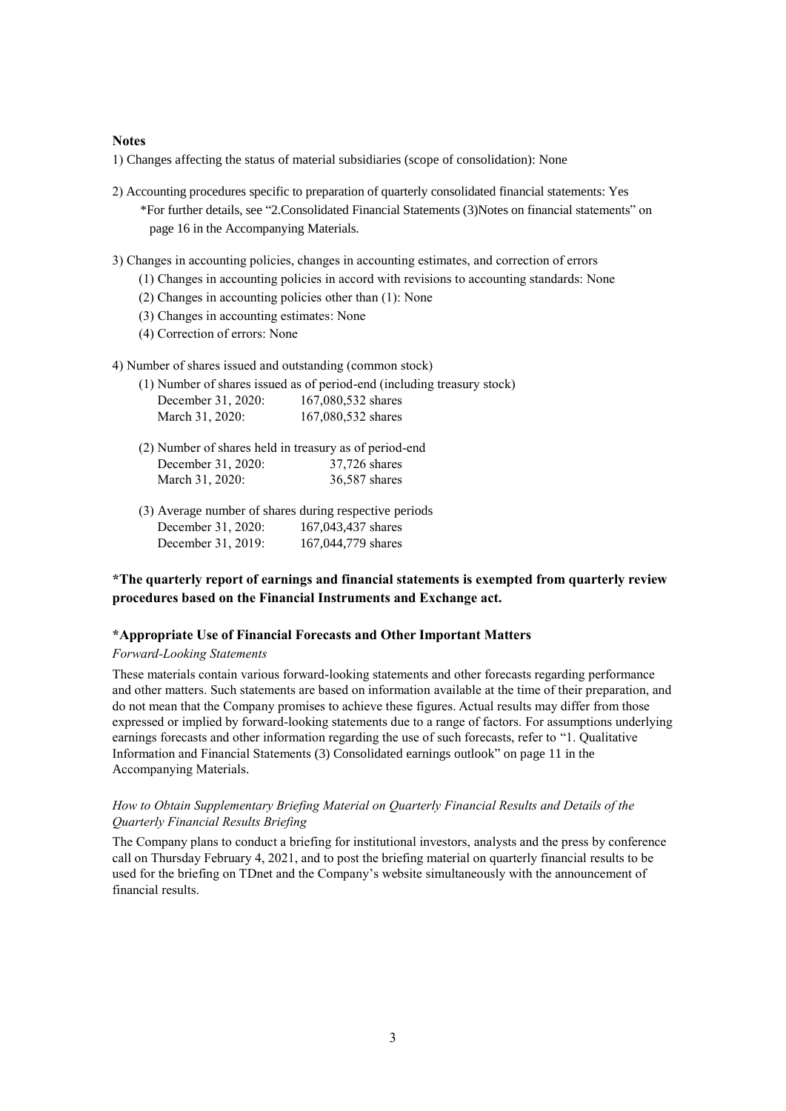### **Notes**

1) Changes affecting the status of material subsidiaries (scope of consolidation): None

- 2) Accounting procedures specific to preparation of quarterly consolidated financial statements: Yes \*For further details, see "2.Consolidated Financial Statements (3)Notes on financial statements" on page 16 in the Accompanying Materials.
- 3) Changes in accounting policies, changes in accounting estimates, and correction of errors
	- (1) Changes in accounting policies in accord with revisions to accounting standards: None
	- (2) Changes in accounting policies other than (1): None
	- (3) Changes in accounting estimates: None
	- (4) Correction of errors: None
- 4) Number of shares issued and outstanding (common stock)

|                    | (1) Number of shares issued as of period-end (including treasury stock) |
|--------------------|-------------------------------------------------------------------------|
| December 31, 2020: | 167,080,532 shares                                                      |
| March 31, 2020:    | 167,080,532 shares                                                      |

- (2) Number of shares held in treasury as of period-end December 31, 2020: 37,726 shares March 31, 2020: 36,587 shares
- (3) Average number of shares during respective periods December 31, 2020: 167,043,437 shares December 31, 2019: 167,044,779 shares

## **\*The quarterly report of earnings and financial statements is exempted from quarterly review procedures based on the Financial Instruments and Exchange act.**

#### **\*Appropriate Use of Financial Forecasts and Other Important Matters**

#### *Forward-Looking Statements*

These materials contain various forward-looking statements and other forecasts regarding performance and other matters. Such statements are based on information available at the time of their preparation, and do not mean that the Company promises to achieve these figures. Actual results may differ from those expressed or implied by forward-looking statements due to a range of factors. For assumptions underlying earnings forecasts and other information regarding the use of such forecasts, refer to "1. Qualitative Information and Financial Statements (3) Consolidated earnings outlook" on page 11 in the Accompanying Materials.

### *How to Obtain Supplementary Briefing Material on Quarterly Financial Results and Details of the Quarterly Financial Results Briefing*

The Company plans to conduct a briefing for institutional investors, analysts and the press by conference call on Thursday February 4, 2021, and to post the briefing material on quarterly financial results to be used for the briefing on TDnet and the Company's website simultaneously with the announcement of financial results.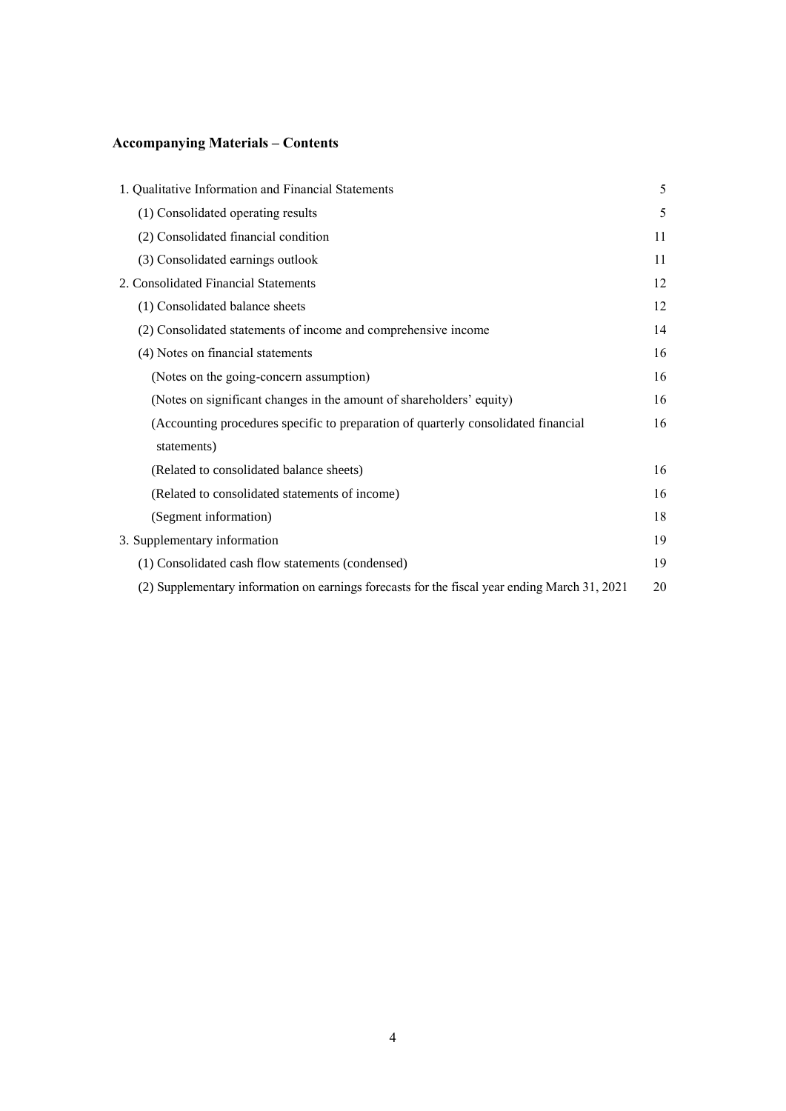# **Accompanying Materials – Contents**

| 1. Qualitative Information and Financial Statements                                           | 5  |
|-----------------------------------------------------------------------------------------------|----|
| (1) Consolidated operating results                                                            | 5  |
| (2) Consolidated financial condition                                                          | 11 |
| (3) Consolidated earnings outlook                                                             | 11 |
| 2. Consolidated Financial Statements                                                          | 12 |
| (1) Consolidated balance sheets                                                               | 12 |
| (2) Consolidated statements of income and comprehensive income                                | 14 |
| (4) Notes on financial statements                                                             | 16 |
| (Notes on the going-concern assumption)                                                       | 16 |
| (Notes on significant changes in the amount of shareholders' equity)                          | 16 |
| (Accounting procedures specific to preparation of quarterly consolidated financial            | 16 |
| statements)                                                                                   |    |
| (Related to consolidated balance sheets)                                                      | 16 |
| (Related to consolidated statements of income)                                                | 16 |
| (Segment information)                                                                         | 18 |
| 3. Supplementary information                                                                  | 19 |
| (1) Consolidated cash flow statements (condensed)                                             | 19 |
| (2) Supplementary information on earnings forecasts for the fiscal year ending March 31, 2021 | 20 |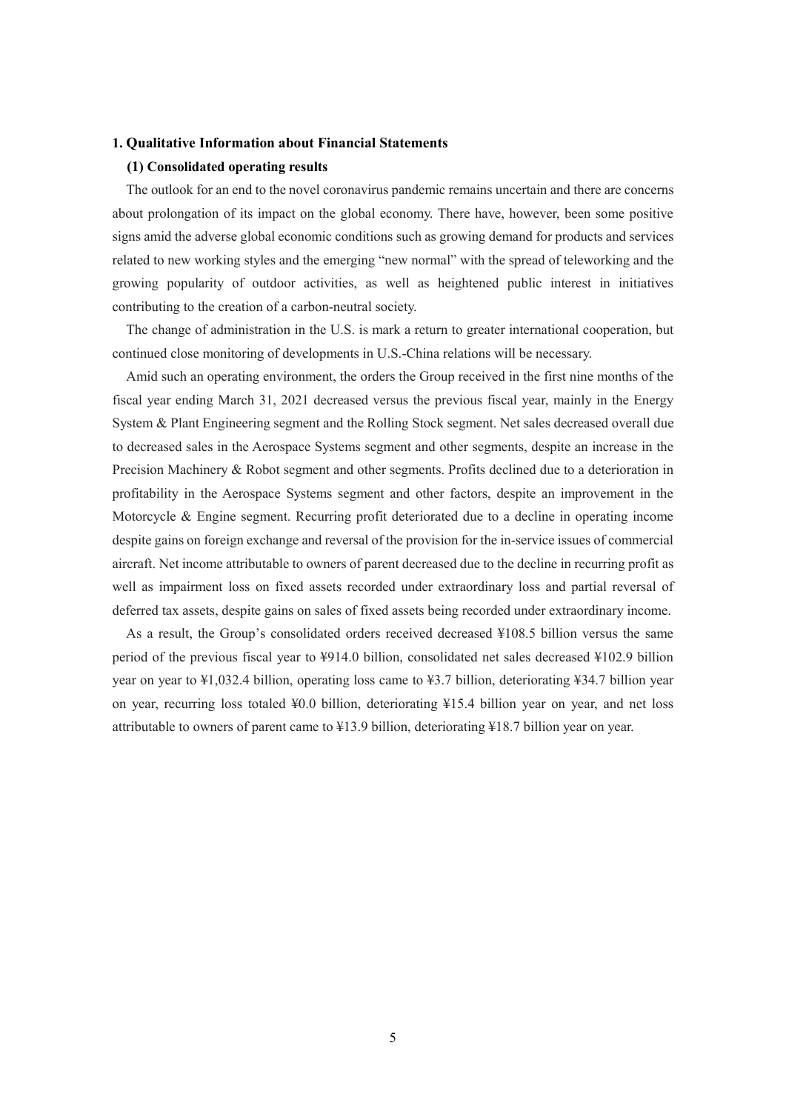### **1. Qualitative Information about Financial Statements**

### **(1) Consolidated operating results**

The outlook for an end to the novel coronavirus pandemic remains uncertain and there are concerns about prolongation of its impact on the global economy. There have, however, been some positive signs amid the adverse global economic conditions such as growing demand for products and services related to new working styles and the emerging "new normal" with the spread of teleworking and the growing popularity of outdoor activities, as well as heightened public interest in initiatives contributing to the creation of a carbon-neutral society.

The change of administration in the U.S. is mark a return to greater international cooperation, but continued close monitoring of developments in U.S.-China relations will be necessary.

Amid such an operating environment, the orders the Group received in the first nine months of the fiscal year ending March 31, 2021 decreased versus the previous fiscal year, mainly in the Energy System & Plant Engineering segment and the Rolling Stock segment. Net sales decreased overall due to decreased sales in the Aerospace Systems segment and other segments, despite an increase in the Precision Machinery & Robot segment and other segments. Profits declined due to a deterioration in profitability in the Aerospace Systems segment and other factors, despite an improvement in the Motorcycle & Engine segment. Recurring profit deteriorated due to a decline in operating income despite gains on foreign exchange and reversal of the provision for the in-service issues of commercial aircraft. Net income attributable to owners of parent decreased due to the decline in recurring profit as well as impairment loss on fixed assets recorded under extraordinary loss and partial reversal of deferred tax assets, despite gains on sales of fixed assets being recorded under extraordinary income.

As a result, the Group's consolidated orders received decreased ¥108.5 billion versus the same period of the previous fiscal year to ¥914.0 billion, consolidated net sales decreased ¥102.9 billion year on year to ¥1,032.4 billion, operating loss came to ¥3.7 billion, deteriorating ¥34.7 billion year on year, recurring loss totaled ¥0.0 billion, deteriorating ¥15.4 billion year on year, and net loss attributable to owners of parent came to ¥13.9 billion, deteriorating ¥18.7 billion year on year.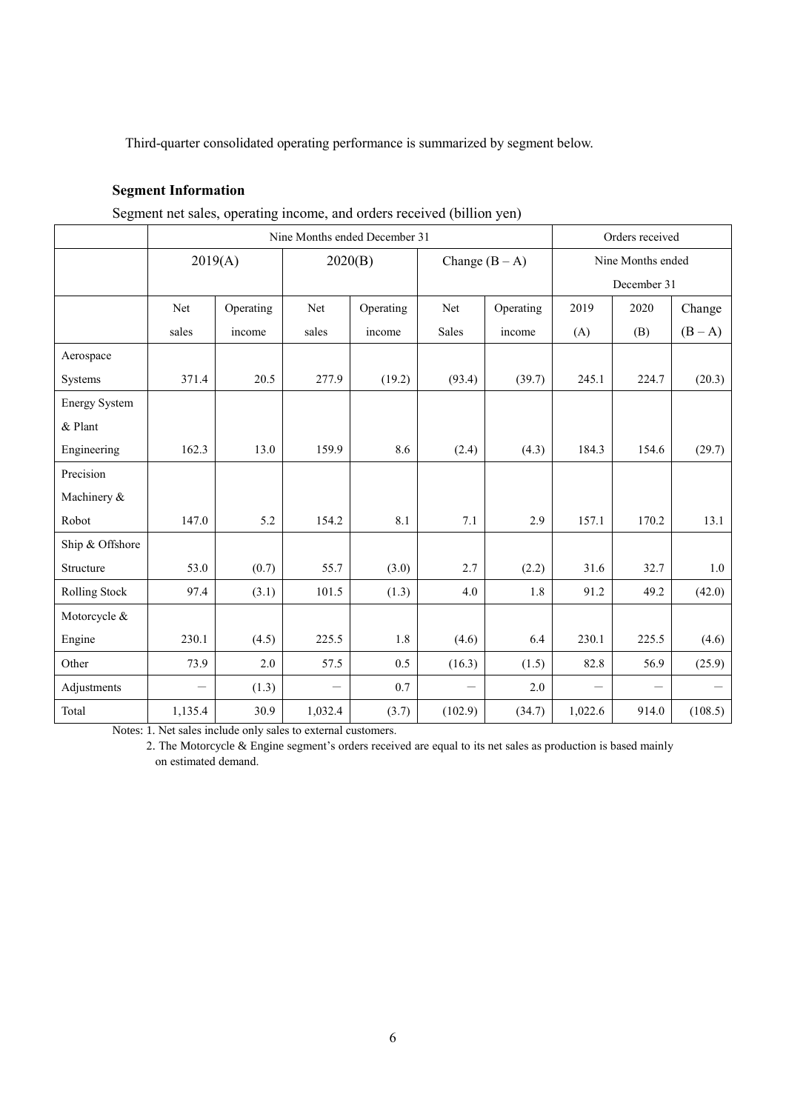Third-quarter consolidated operating performance is summarized by segment below.

# **Segment Information**

Segment net sales, operating income, and orders received (billion yen)

|                      | Nine Months ended December 31 |           |         |           |                  |           | Orders received   |             |         |
|----------------------|-------------------------------|-----------|---------|-----------|------------------|-----------|-------------------|-------------|---------|
|                      |                               | 2019(A)   |         | 2020(B)   | Change $(B - A)$ |           | Nine Months ended |             |         |
|                      |                               |           |         |           |                  |           |                   | December 31 |         |
|                      | Net                           | Operating | Net     | Operating | Net              | Operating | 2019              | 2020        | Change  |
|                      | sales                         | income    | sales   | income    | <b>Sales</b>     | income    | (A)               | (B)         | $(B-A)$ |
| Aerospace            |                               |           |         |           |                  |           |                   |             |         |
| Systems              | 371.4                         | 20.5      | 277.9   | (19.2)    | (93.4)           | (39.7)    | 245.1             | 224.7       | (20.3)  |
| <b>Energy System</b> |                               |           |         |           |                  |           |                   |             |         |
| $&$ Plant            |                               |           |         |           |                  |           |                   |             |         |
| Engineering          | 162.3                         | 13.0      | 159.9   | 8.6       | (2.4)            | (4.3)     | 184.3             | 154.6       | (29.7)  |
| Precision            |                               |           |         |           |                  |           |                   |             |         |
| Machinery &          |                               |           |         |           |                  |           |                   |             |         |
| Robot                | 147.0                         | 5.2       | 154.2   | 8.1       | 7.1              | 2.9       | 157.1             | 170.2       | 13.1    |
| Ship & Offshore      |                               |           |         |           |                  |           |                   |             |         |
| Structure            | 53.0                          | (0.7)     | 55.7    | (3.0)     | 2.7              | (2.2)     | 31.6              | 32.7        | 1.0     |
| Rolling Stock        | 97.4                          | (3.1)     | 101.5   | (1.3)     | 4.0              | 1.8       | 91.2              | 49.2        | (42.0)  |
| Motorcycle &         |                               |           |         |           |                  |           |                   |             |         |
| Engine               | 230.1                         | (4.5)     | 225.5   | 1.8       | (4.6)            | 6.4       | 230.1             | 225.5       | (4.6)   |
| Other                | 73.9                          | 2.0       | 57.5    | 0.5       | (16.3)           | (1.5)     | 82.8              | 56.9        | (25.9)  |
| Adjustments          |                               | (1.3)     |         | 0.7       |                  | 2.0       |                   |             |         |
| Total                | 1,135.4                       | 30.9      | 1,032.4 | (3.7)     | (102.9)          | (34.7)    | 1,022.6           | 914.0       | (108.5) |

Notes: 1. Net sales include only sales to external customers.

2. The Motorcycle & Engine segment's orders received are equal to its net sales as production is based mainly on estimated demand.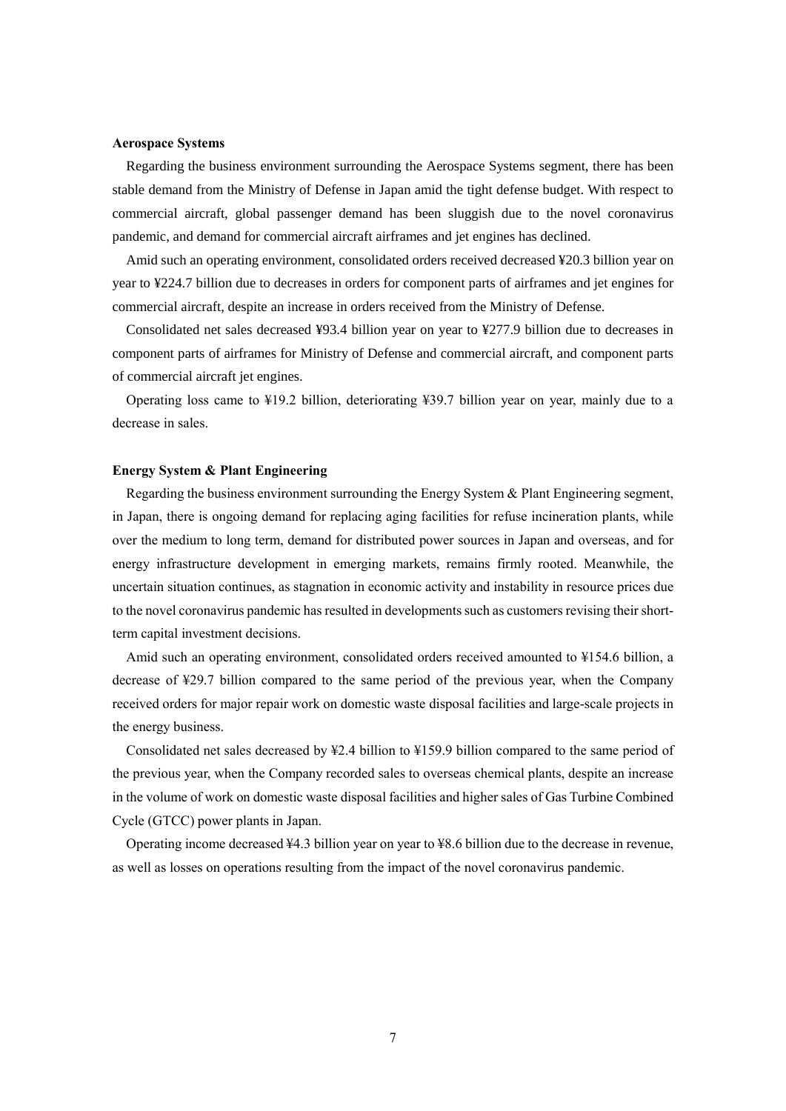#### **Aerospace Systems**

Regarding the business environment surrounding the Aerospace Systems segment, there has been stable demand from the Ministry of Defense in Japan amid the tight defense budget. With respect to commercial aircraft, global passenger demand has been sluggish due to the novel coronavirus pandemic, and demand for commercial aircraft airframes and jet engines has declined.

Amid such an operating environment, consolidated orders received decreased ¥20.3 billion year on year to ¥224.7 billion due to decreases in orders for component parts of airframes and jet engines for commercial aircraft, despite an increase in orders received from the Ministry of Defense.

Consolidated net sales decreased ¥93.4 billion year on year to ¥277.9 billion due to decreases in component parts of airframes for Ministry of Defense and commercial aircraft, and component parts of commercial aircraft jet engines.

Operating loss came to ¥19.2 billion, deteriorating ¥39.7 billion year on year, mainly due to a decrease in sales.

### **Energy System & Plant Engineering**

Regarding the business environment surrounding the Energy System & Plant Engineering segment, in Japan, there is ongoing demand for replacing aging facilities for refuse incineration plants, while over the medium to long term, demand for distributed power sources in Japan and overseas, and for energy infrastructure development in emerging markets, remains firmly rooted. Meanwhile, the uncertain situation continues, as stagnation in economic activity and instability in resource prices due to the novel coronavirus pandemic has resulted in developments such as customers revising their shortterm capital investment decisions.

Amid such an operating environment, consolidated orders received amounted to ¥154.6 billion, a decrease of ¥29.7 billion compared to the same period of the previous year, when the Company received orders for major repair work on domestic waste disposal facilities and large-scale projects in the energy business.

Consolidated net sales decreased by ¥2.4 billion to ¥159.9 billion compared to the same period of the previous year, when the Company recorded sales to overseas chemical plants, despite an increase in the volume of work on domestic waste disposal facilities and higher sales of Gas Turbine Combined Cycle (GTCC) power plants in Japan.

Operating income decreased ¥4.3 billion year on year to ¥8.6 billion due to the decrease in revenue, as well as losses on operations resulting from the impact of the novel coronavirus pandemic.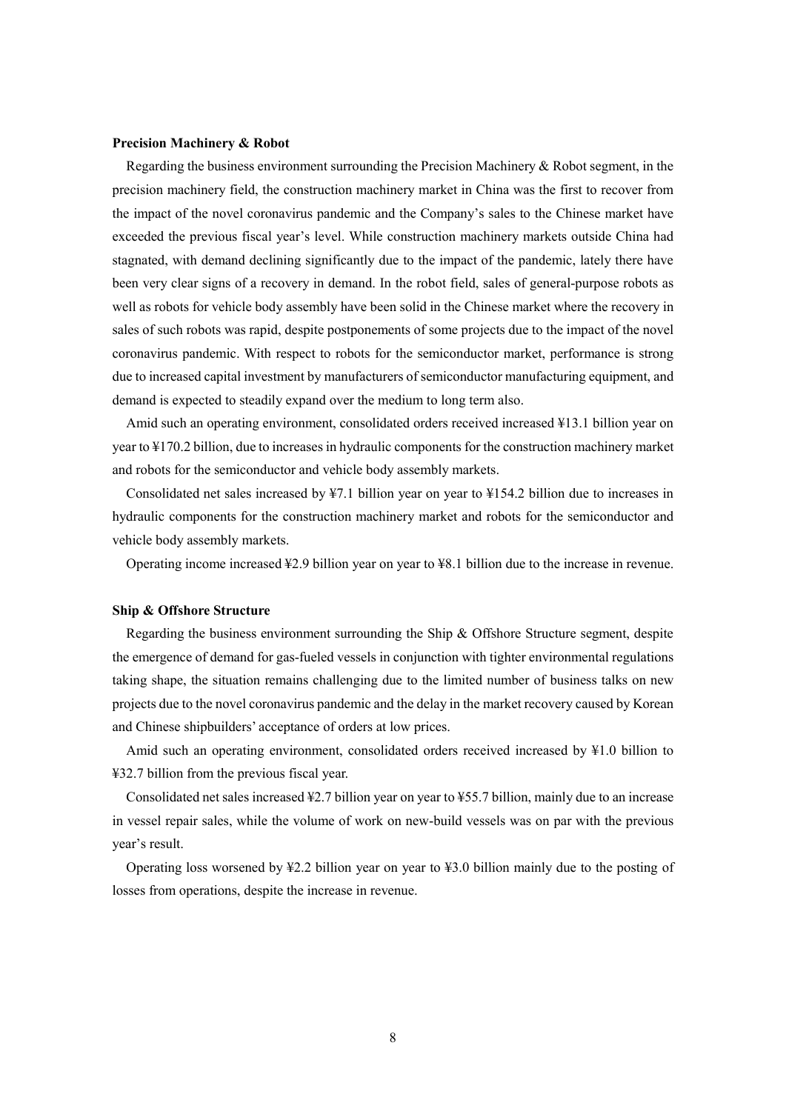### **Precision Machinery & Robot**

Regarding the business environment surrounding the Precision Machinery & Robot segment, in the precision machinery field, the construction machinery market in China was the first to recover from the impact of the novel coronavirus pandemic and the Company's sales to the Chinese market have exceeded the previous fiscal year's level. While construction machinery markets outside China had stagnated, with demand declining significantly due to the impact of the pandemic, lately there have been very clear signs of a recovery in demand. In the robot field, sales of general-purpose robots as well as robots for vehicle body assembly have been solid in the Chinese market where the recovery in sales of such robots was rapid, despite postponements of some projects due to the impact of the novel coronavirus pandemic. With respect to robots for the semiconductor market, performance is strong due to increased capital investment by manufacturers of semiconductor manufacturing equipment, and demand is expected to steadily expand over the medium to long term also.

Amid such an operating environment, consolidated orders received increased ¥13.1 billion year on year to ¥170.2 billion, due to increases in hydraulic components for the construction machinery market and robots for the semiconductor and vehicle body assembly markets.

Consolidated net sales increased by ¥7.1 billion year on year to ¥154.2 billion due to increases in hydraulic components for the construction machinery market and robots for the semiconductor and vehicle body assembly markets.

Operating income increased ¥2.9 billion year on year to ¥8.1 billion due to the increase in revenue.

#### **Ship & Offshore Structure**

Regarding the business environment surrounding the Ship & Offshore Structure segment, despite the emergence of demand for gas-fueled vessels in conjunction with tighter environmental regulations taking shape, the situation remains challenging due to the limited number of business talks on new projects due to the novel coronavirus pandemic and the delay in the market recovery caused by Korean and Chinese shipbuilders' acceptance of orders at low prices.

Amid such an operating environment, consolidated orders received increased by ¥1.0 billion to ¥32.7 billion from the previous fiscal year.

Consolidated net sales increased ¥2.7 billion year on year to ¥55.7 billion, mainly due to an increase in vessel repair sales, while the volume of work on new-build vessels was on par with the previous year's result.

Operating loss worsened by ¥2.2 billion year on year to ¥3.0 billion mainly due to the posting of losses from operations, despite the increase in revenue.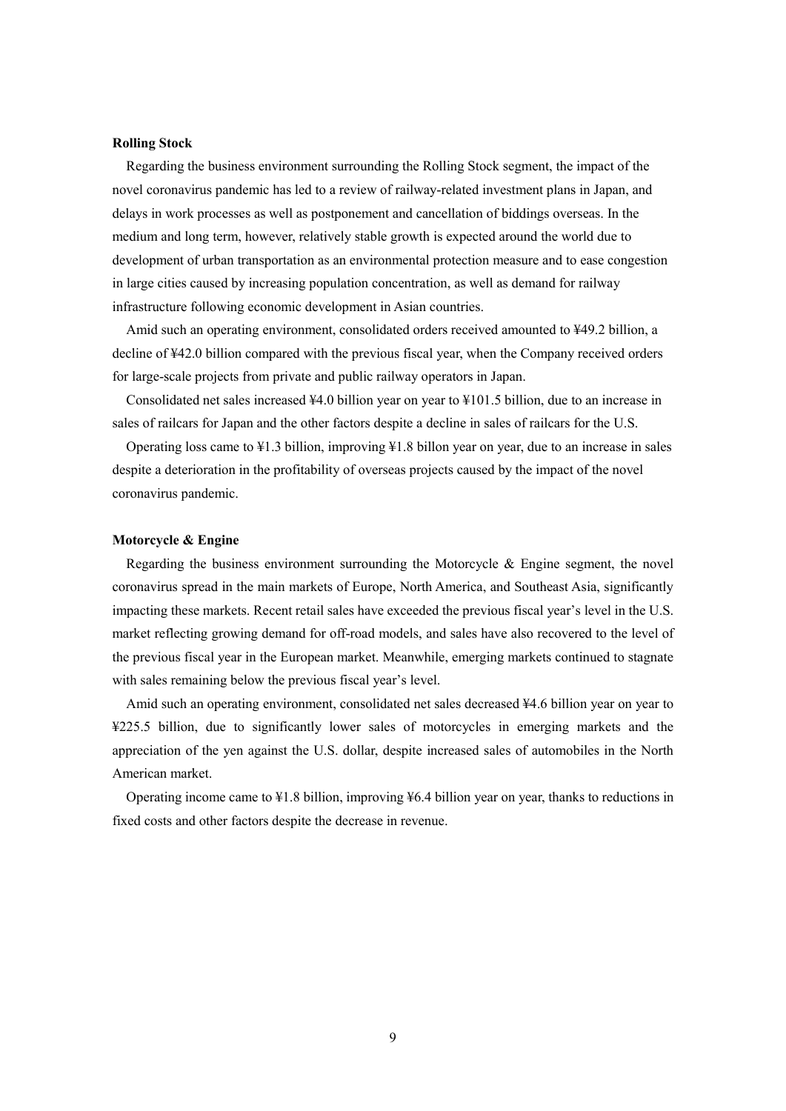#### **Rolling Stock**

Regarding the business environment surrounding the Rolling Stock segment, the impact of the novel coronavirus pandemic has led to a review of railway-related investment plans in Japan, and delays in work processes as well as postponement and cancellation of biddings overseas. In the medium and long term, however, relatively stable growth is expected around the world due to development of urban transportation as an environmental protection measure and to ease congestion in large cities caused by increasing population concentration, as well as demand for railway infrastructure following economic development in Asian countries.

Amid such an operating environment, consolidated orders received amounted to ¥49.2 billion, a decline of ¥42.0 billion compared with the previous fiscal year, when the Company received orders for large-scale projects from private and public railway operators in Japan.

Consolidated net sales increased ¥4.0 billion year on year to ¥101.5 billion, due to an increase in sales of railcars for Japan and the other factors despite a decline in sales of railcars for the U.S.

Operating loss came to ¥1.3 billion, improving ¥1.8 billon year on year, due to an increase in sales despite a deterioration in the profitability of overseas projects caused by the impact of the novel coronavirus pandemic.

### **Motorcycle & Engine**

Regarding the business environment surrounding the Motorcycle & Engine segment, the novel coronavirus spread in the main markets of Europe, North America, and Southeast Asia, significantly impacting these markets. Recent retail sales have exceeded the previous fiscal year's level in the U.S. market reflecting growing demand for off-road models, and sales have also recovered to the level of the previous fiscal year in the European market. Meanwhile, emerging markets continued to stagnate with sales remaining below the previous fiscal year's level.

Amid such an operating environment, consolidated net sales decreased ¥4.6 billion year on year to ¥225.5 billion, due to significantly lower sales of motorcycles in emerging markets and the appreciation of the yen against the U.S. dollar, despite increased sales of automobiles in the North American market.

Operating income came to  $\text{\textsterling}1.8$  billion, improving  $\text{\textsterling}6.4$  billion year on year, thanks to reductions in fixed costs and other factors despite the decrease in revenue.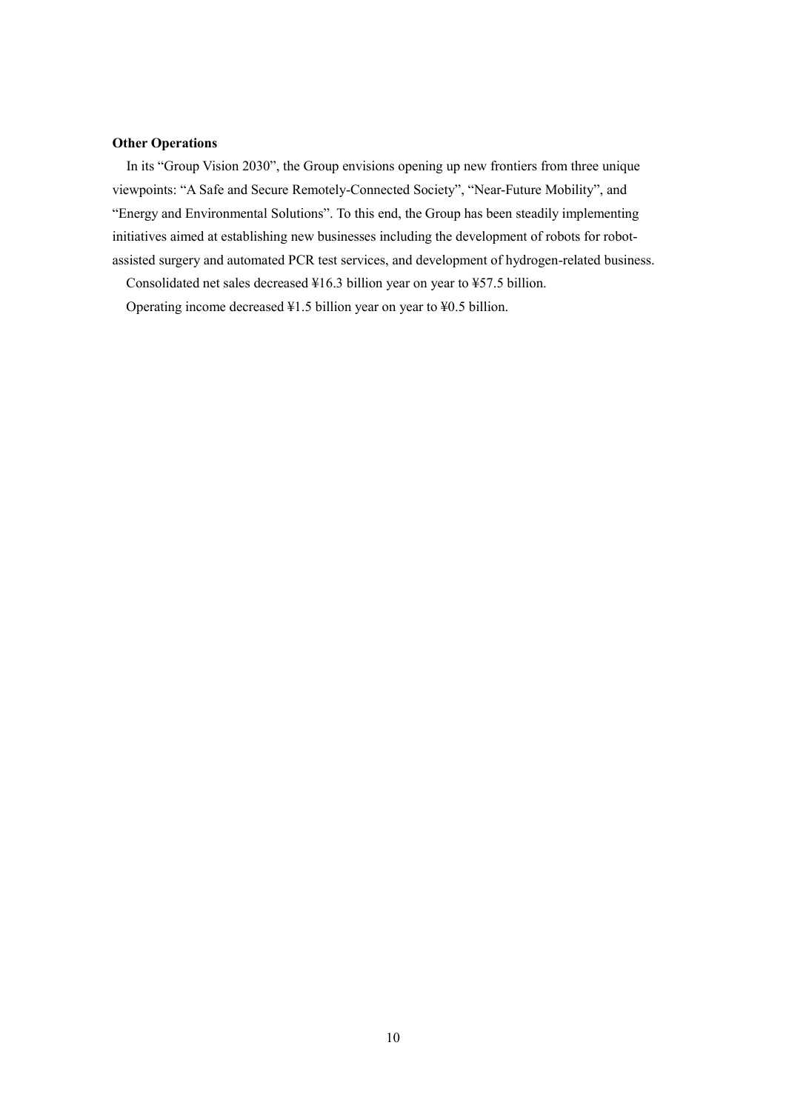## **Other Operations**

 In its "Group Vision 2030", the Group envisions opening up new frontiers from three unique viewpoints: "A Safe and Secure Remotely-Connected Society", "Near-Future Mobility", and "Energy and Environmental Solutions". To this end, the Group has been steadily implementing initiatives aimed at establishing new businesses including the development of robots for robotassisted surgery and automated PCR test services, and development of hydrogen-related business.

Consolidated net sales decreased ¥16.3 billion year on year to ¥57.5 billion.

Operating income decreased ¥1.5 billion year on year to ¥0.5 billion.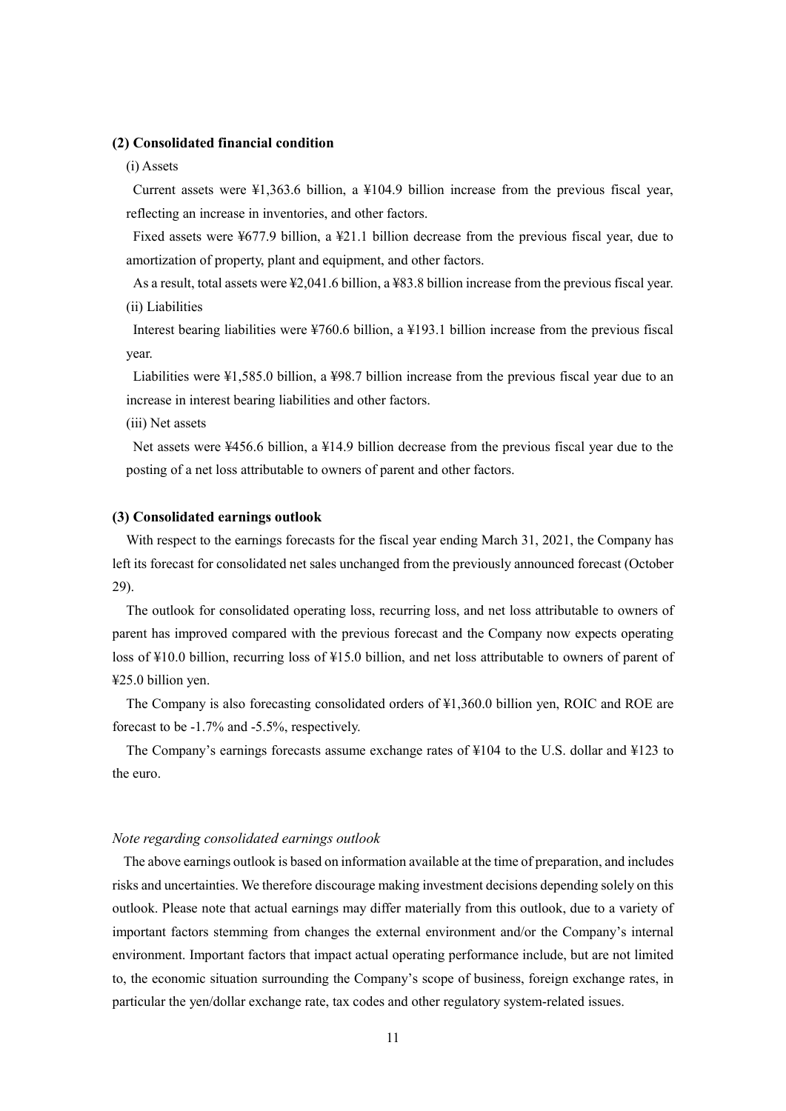### **(2) Consolidated financial condition**

#### (i) Assets

Current assets were ¥1,363.6 billion, a ¥104.9 billion increase from the previous fiscal year, reflecting an increase in inventories, and other factors.

Fixed assets were ¥677.9 billion, a ¥21.1 billion decrease from the previous fiscal year, due to amortization of property, plant and equipment, and other factors.

As a result, total assets were ¥2,041.6 billion, a ¥83.8 billion increase from the previous fiscal year. (ii) Liabilities

Interest bearing liabilities were ¥760.6 billion, a ¥193.1 billion increase from the previous fiscal year.

Liabilities were ¥1,585.0 billion, a ¥98.7 billion increase from the previous fiscal year due to an increase in interest bearing liabilities and other factors.

(iii) Net assets

Net assets were ¥456.6 billion, a ¥14.9 billion decrease from the previous fiscal year due to the posting of a net loss attributable to owners of parent and other factors.

### **(3) Consolidated earnings outlook**

With respect to the earnings forecasts for the fiscal year ending March 31, 2021, the Company has left its forecast for consolidated net sales unchanged from the previously announced forecast (October 29).

The outlook for consolidated operating loss, recurring loss, and net loss attributable to owners of parent has improved compared with the previous forecast and the Company now expects operating loss of ¥10.0 billion, recurring loss of ¥15.0 billion, and net loss attributable to owners of parent of ¥25.0 billion yen.

The Company is also forecasting consolidated orders of ¥1,360.0 billion yen, ROIC and ROE are forecast to be -1.7% and -5.5%, respectively.

The Company's earnings forecasts assume exchange rates of ¥104 to the U.S. dollar and ¥123 to the euro.

### *Note regarding consolidated earnings outlook*

The above earnings outlook is based on information available at the time of preparation, and includes risks and uncertainties. We therefore discourage making investment decisions depending solely on this outlook. Please note that actual earnings may differ materially from this outlook, due to a variety of important factors stemming from changes the external environment and/or the Company's internal environment. Important factors that impact actual operating performance include, but are not limited to, the economic situation surrounding the Company's scope of business, foreign exchange rates, in particular the yen/dollar exchange rate, tax codes and other regulatory system-related issues.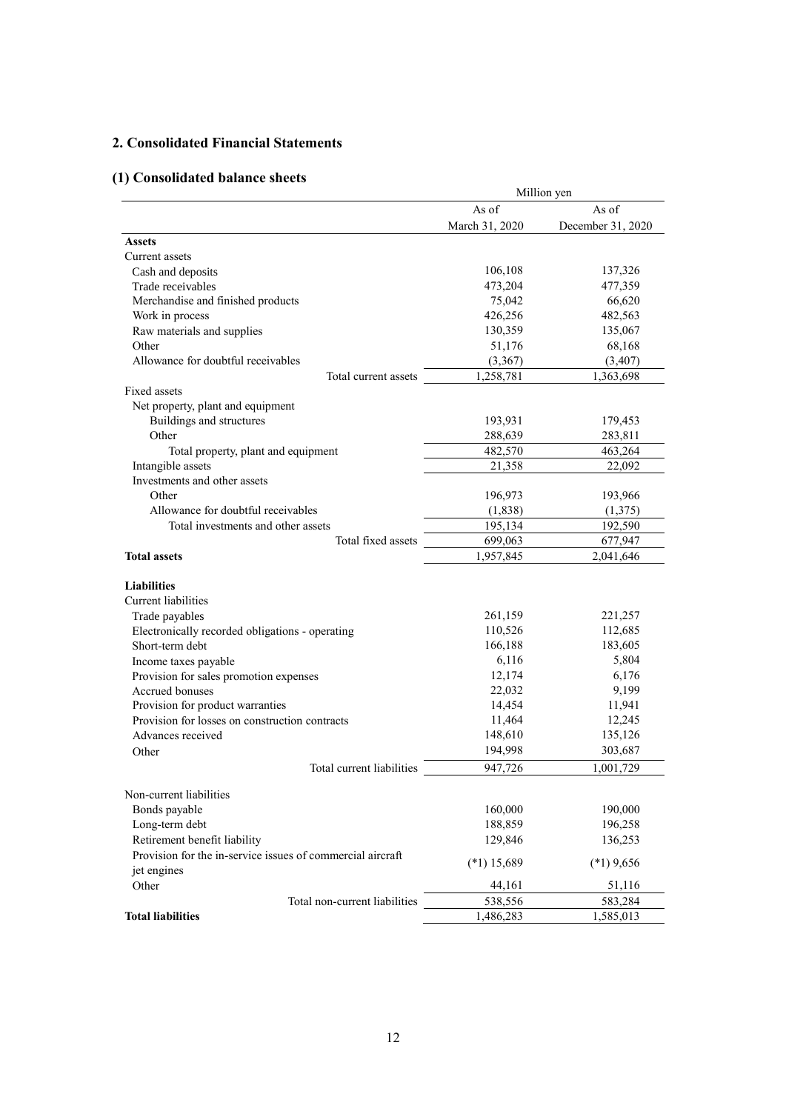# **2. Consolidated Financial Statements**

# **(1) Consolidated balance sheets**

|                                                            | Million yen    |                   |
|------------------------------------------------------------|----------------|-------------------|
|                                                            | As of          | As of             |
|                                                            | March 31, 2020 | December 31, 2020 |
| <b>Assets</b>                                              |                |                   |
| Current assets                                             |                |                   |
| Cash and deposits                                          | 106,108        | 137,326           |
| Trade receivables                                          | 473,204        | 477,359           |
| Merchandise and finished products                          | 75,042         | 66,620            |
| Work in process                                            | 426,256        | 482,563           |
| Raw materials and supplies                                 | 130,359        | 135,067           |
| Other                                                      | 51,176         | 68,168            |
| Allowance for doubtful receivables                         | (3, 367)       | (3,407)           |
| Total current assets                                       | 1,258,781      | 1,363,698         |
| Fixed assets                                               |                |                   |
| Net property, plant and equipment                          |                |                   |
| Buildings and structures                                   | 193,931        | 179,453           |
| Other                                                      | 288,639        | 283,811           |
| Total property, plant and equipment                        | 482,570        | 463,264           |
| Intangible assets                                          | 21,358         | 22,092            |
| Investments and other assets                               |                |                   |
| Other                                                      | 196,973        | 193,966           |
| Allowance for doubtful receivables                         | (1,838)        | (1,375)           |
| Total investments and other assets                         | 195,134        | 192,590           |
| Total fixed assets                                         | 699,063        | 677,947           |
| <b>Total assets</b>                                        | 1,957,845      | 2,041,646         |
|                                                            |                |                   |
| <b>Liabilities</b>                                         |                |                   |
| Current liabilities                                        |                |                   |
| Trade payables                                             | 261,159        | 221,257           |
| Electronically recorded obligations - operating            | 110,526        | 112,685           |
| Short-term debt                                            | 166,188        | 183,605           |
| Income taxes payable                                       | 6,116          | 5,804             |
| Provision for sales promotion expenses                     | 12,174         | 6,176             |
| Accrued bonuses                                            | 22,032         | 9,199             |
| Provision for product warranties                           | 14,454         | 11,941            |
| Provision for losses on construction contracts             | 11,464         | 12,245            |
| Advances received                                          | 148,610        | 135,126           |
|                                                            | 194,998        | 303,687           |
| Other                                                      |                |                   |
| Total current liabilities                                  | 947,726        | 1,001,729         |
| Non-current liabilities                                    |                |                   |
| Bonds payable                                              | 160,000        | 190,000           |
| Long-term debt                                             | 188,859        | 196,258           |
| Retirement benefit liability                               |                |                   |
|                                                            | 129,846        | 136,253           |
| Provision for the in-service issues of commercial aircraft | $(*1)$ 15,689  | $(*1)$ 9,656      |
| jet engines                                                |                |                   |
| Other                                                      | 44,161         | 51,116            |
| Total non-current liabilities                              | 538,556        | 583,284           |
| <b>Total liabilities</b>                                   | 1,486,283      | 1,585,013         |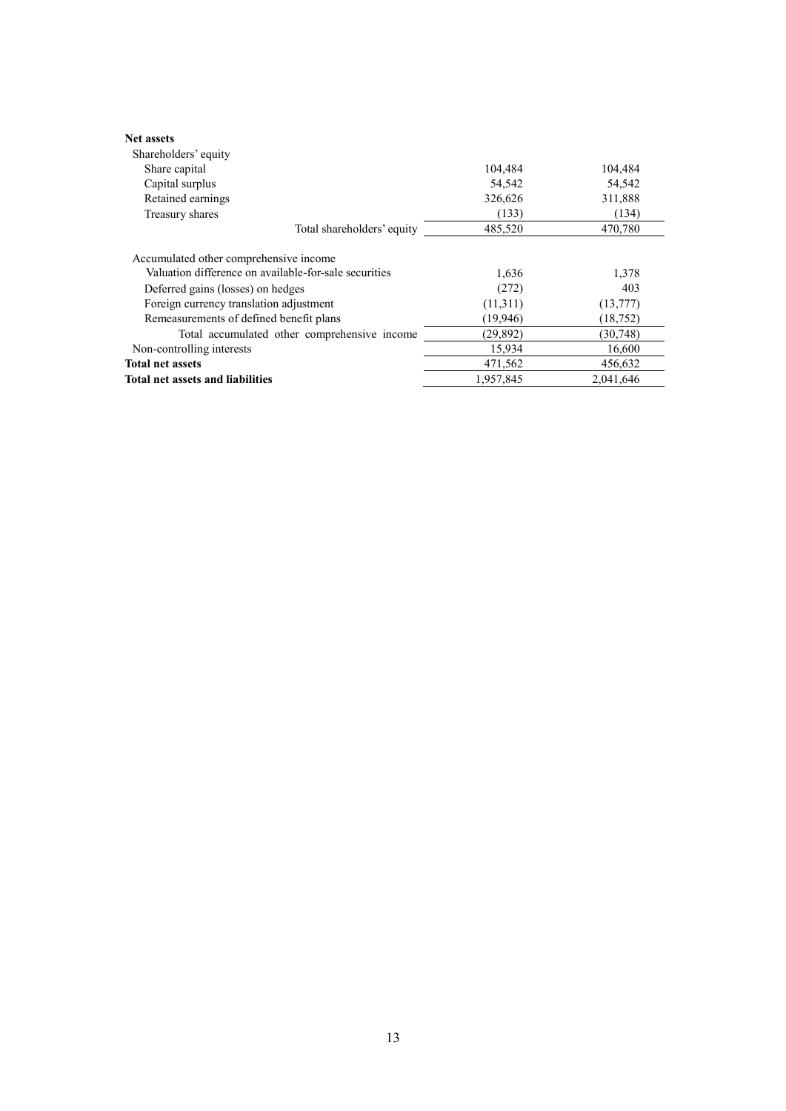| <b>Net assets</b>                                     |           |           |
|-------------------------------------------------------|-----------|-----------|
| Shareholders' equity                                  |           |           |
| Share capital                                         | 104,484   | 104,484   |
| Capital surplus                                       | 54,542    | 54,542    |
| Retained earnings                                     | 326,626   | 311,888   |
| Treasury shares                                       | (133)     | (134)     |
| Total shareholders' equity                            | 485,520   | 470,780   |
| Accumulated other comprehensive income                |           |           |
| Valuation difference on available-for-sale securities | 1,636     | 1,378     |
| Deferred gains (losses) on hedges                     | (272)     | 403       |
| Foreign currency translation adjustment               | (11,311)  | (13,777)  |
| Remeasurements of defined benefit plans               | (19,946)  | (18, 752) |
| Total accumulated other comprehensive income          | (29, 892) | (30, 748) |
| Non-controlling interests                             | 15,934    | 16,600    |
| <b>Total net assets</b>                               | 471,562   | 456.632   |
| <b>Total net assets and liabilities</b>               | 1.957.845 | 2.041.646 |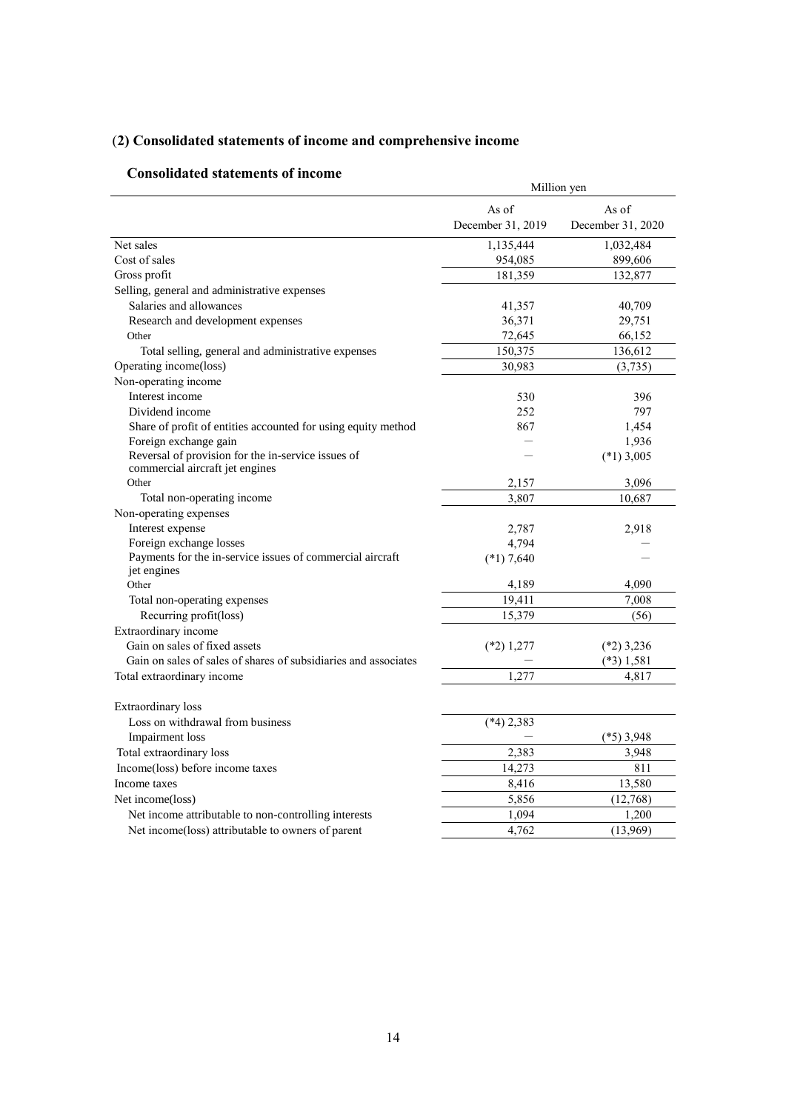# (**2) Consolidated statements of income and comprehensive income**

# **Consolidated statements of income**

| онѕончатся зтатения от пісопіс                                                       | Million yen       |                   |  |  |
|--------------------------------------------------------------------------------------|-------------------|-------------------|--|--|
|                                                                                      | As of             | As of             |  |  |
|                                                                                      | December 31, 2019 | December 31, 2020 |  |  |
| Net sales                                                                            | 1,135,444         | 1,032,484         |  |  |
| Cost of sales                                                                        | 954,085           | 899,606           |  |  |
| Gross profit                                                                         | 181,359           | 132,877           |  |  |
| Selling, general and administrative expenses                                         |                   |                   |  |  |
| Salaries and allowances                                                              | 41,357            | 40,709            |  |  |
| Research and development expenses                                                    | 36,371            | 29,751            |  |  |
| Other                                                                                | 72,645            | 66,152            |  |  |
| Total selling, general and administrative expenses                                   | 150,375           | 136,612           |  |  |
| Operating income(loss)                                                               | 30,983            | (3,735)           |  |  |
| Non-operating income                                                                 |                   |                   |  |  |
| Interest income                                                                      | 530               | 396               |  |  |
| Dividend income                                                                      | 252               | 797               |  |  |
| Share of profit of entities accounted for using equity method                        | 867               | 1,454             |  |  |
| Foreign exchange gain                                                                |                   | 1,936             |  |  |
| Reversal of provision for the in-service issues of                                   |                   | $(*1)$ 3,005      |  |  |
| commercial aircraft jet engines                                                      |                   |                   |  |  |
| Other                                                                                | 2,157             | 3,096             |  |  |
| Total non-operating income                                                           | 3,807             | 10,687            |  |  |
| Non-operating expenses                                                               |                   |                   |  |  |
| Interest expense                                                                     | 2,787             | 2,918             |  |  |
| Foreign exchange losses<br>Payments for the in-service issues of commercial aircraft | 4,794             |                   |  |  |
| jet engines                                                                          | $(*1) 7,640$      |                   |  |  |
| Other                                                                                | 4,189             | 4,090             |  |  |
| Total non-operating expenses                                                         | 19,411            | 7,008             |  |  |
| Recurring profit(loss)                                                               | 15,379            | (56)              |  |  |
| Extraordinary income                                                                 |                   |                   |  |  |
| Gain on sales of fixed assets                                                        | $(*2)$ 1,277      | $(*2)$ 3,236      |  |  |
| Gain on sales of sales of shares of subsidiaries and associates                      |                   | $(*3)$ 1,581      |  |  |
| Total extraordinary income                                                           | 1,277             | 4,817             |  |  |
|                                                                                      |                   |                   |  |  |
| Extraordinary loss                                                                   |                   |                   |  |  |
| Loss on withdrawal from business                                                     | $(*4)$ 2,383      |                   |  |  |
| <b>Impairment</b> loss                                                               |                   | $(*5)$ 3,948      |  |  |
| Total extraordinary loss                                                             | 2,383             | 3,948             |  |  |
| Income(loss) before income taxes                                                     | 14,273            | 811               |  |  |
| Income taxes                                                                         | 8,416             | 13,580            |  |  |
| Net income(loss)                                                                     | 5,856             | (12,768)          |  |  |
| Net income attributable to non-controlling interests                                 | 1,094             | 1,200             |  |  |
| Net income(loss) attributable to owners of parent                                    | 4,762             | (13,969)          |  |  |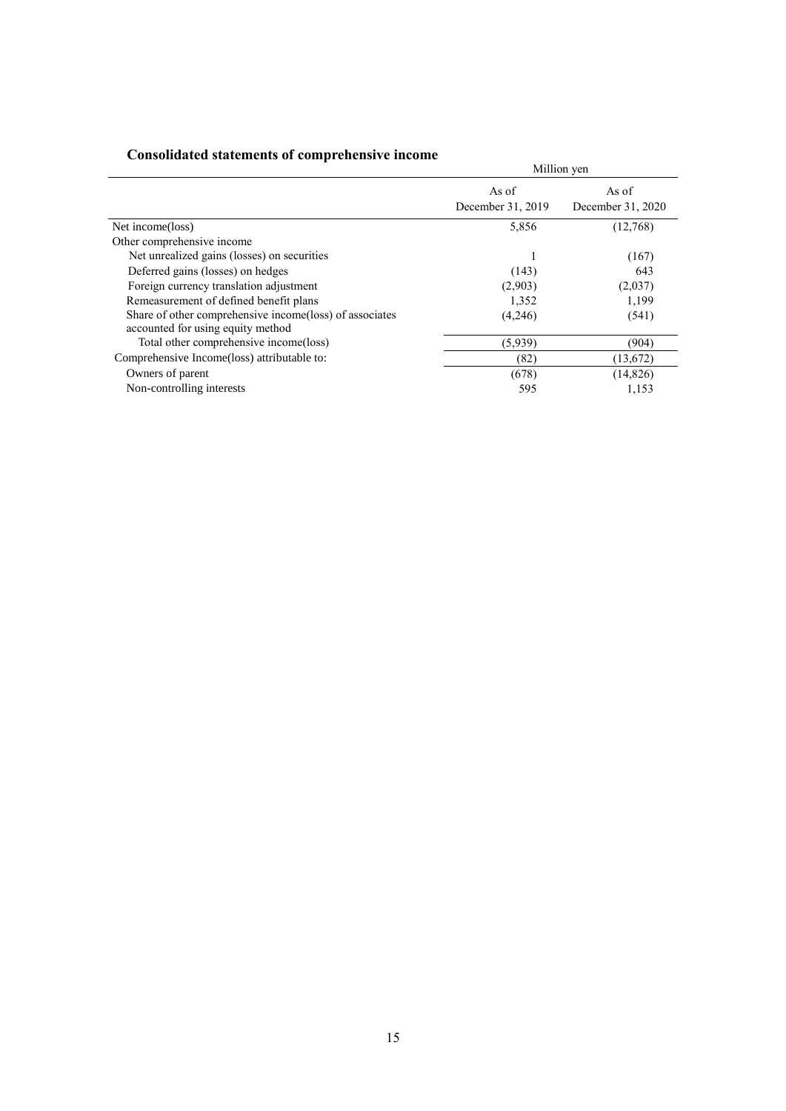| сопрончикси эписнитель от сопіргененяту пісопіс                                              | Million yen                |                            |  |
|----------------------------------------------------------------------------------------------|----------------------------|----------------------------|--|
|                                                                                              | As of<br>December 31, 2019 | As of<br>December 31, 2020 |  |
| Net income(loss)                                                                             | 5,856                      | (12,768)                   |  |
| Other comprehensive income                                                                   |                            |                            |  |
| Net unrealized gains (losses) on securities                                                  |                            | (167)                      |  |
| Deferred gains (losses) on hedges                                                            | (143)                      | 643                        |  |
| Foreign currency translation adjustment                                                      | (2,903)                    | (2,037)                    |  |
| Remeasurement of defined benefit plans                                                       | 1,352                      | 1,199                      |  |
| Share of other comprehensive income(loss) of associates<br>accounted for using equity method | (4,246)                    | (541)                      |  |
| Total other comprehensive income(loss)                                                       | (5,939)                    | (904)                      |  |
| Comprehensive Income(loss) attributable to:                                                  | (82)                       | (13,672)                   |  |
| Owners of parent                                                                             | (678)                      | (14, 826)                  |  |
| Non-controlling interests                                                                    | 595                        | 1,153                      |  |

# **Consolidated statements of comprehensive income**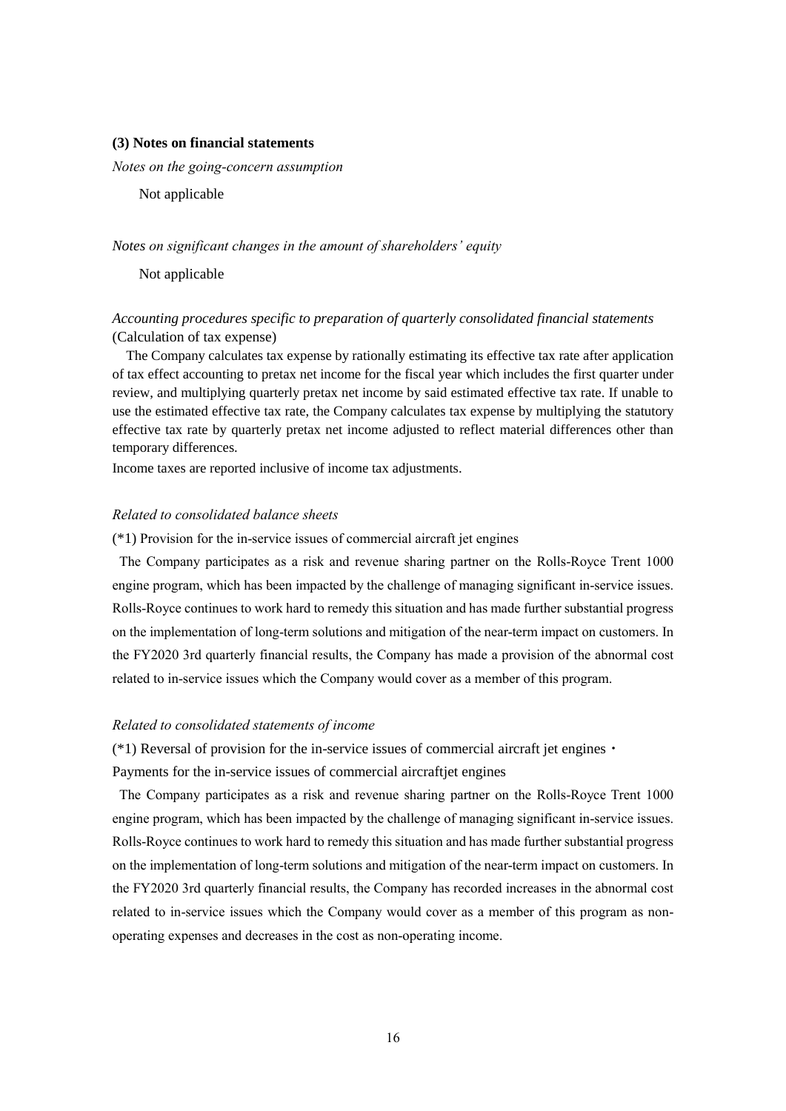#### **(3) Notes on financial statements**

*Notes on the going-concern assumption* 

Not applicable

### *Notes on significant changes in the amount of shareholders' equity*

Not applicable

## *Accounting procedures specific to preparation of quarterly consolidated financial statements* (Calculation of tax expense)

The Company calculates tax expense by rationally estimating its effective tax rate after application of tax effect accounting to pretax net income for the fiscal year which includes the first quarter under review, and multiplying quarterly pretax net income by said estimated effective tax rate. If unable to use the estimated effective tax rate, the Company calculates tax expense by multiplying the statutory effective tax rate by quarterly pretax net income adjusted to reflect material differences other than temporary differences.

Income taxes are reported inclusive of income tax adjustments.

## *Related to consolidated balance sheets*

(\*1) Provision for the in-service issues of commercial aircraft jet engines

The Company participates as a risk and revenue sharing partner on the Rolls-Royce Trent 1000 engine program, which has been impacted by the challenge of managing significant in-service issues. Rolls-Royce continues to work hard to remedy this situation and has made further substantial progress on the implementation of long-term solutions and mitigation of the near-term impact on customers. In the FY2020 3rd quarterly financial results, the Company has made a provision of the abnormal cost related to in-service issues which the Company would cover as a member of this program.

### *Related to consolidated statements of income*

(\*1) Reversal of provision for the in-service issues of commercial aircraft jet engines・

Payments for the in-service issues of commercial aircraftjet engines

The Company participates as a risk and revenue sharing partner on the Rolls-Royce Trent 1000 engine program, which has been impacted by the challenge of managing significant in-service issues. Rolls-Royce continues to work hard to remedy this situation and has made further substantial progress on the implementation of long-term solutions and mitigation of the near-term impact on customers. In the FY2020 3rd quarterly financial results, the Company has recorded increases in the abnormal cost related to in-service issues which the Company would cover as a member of this program as nonoperating expenses and decreases in the cost as non-operating income.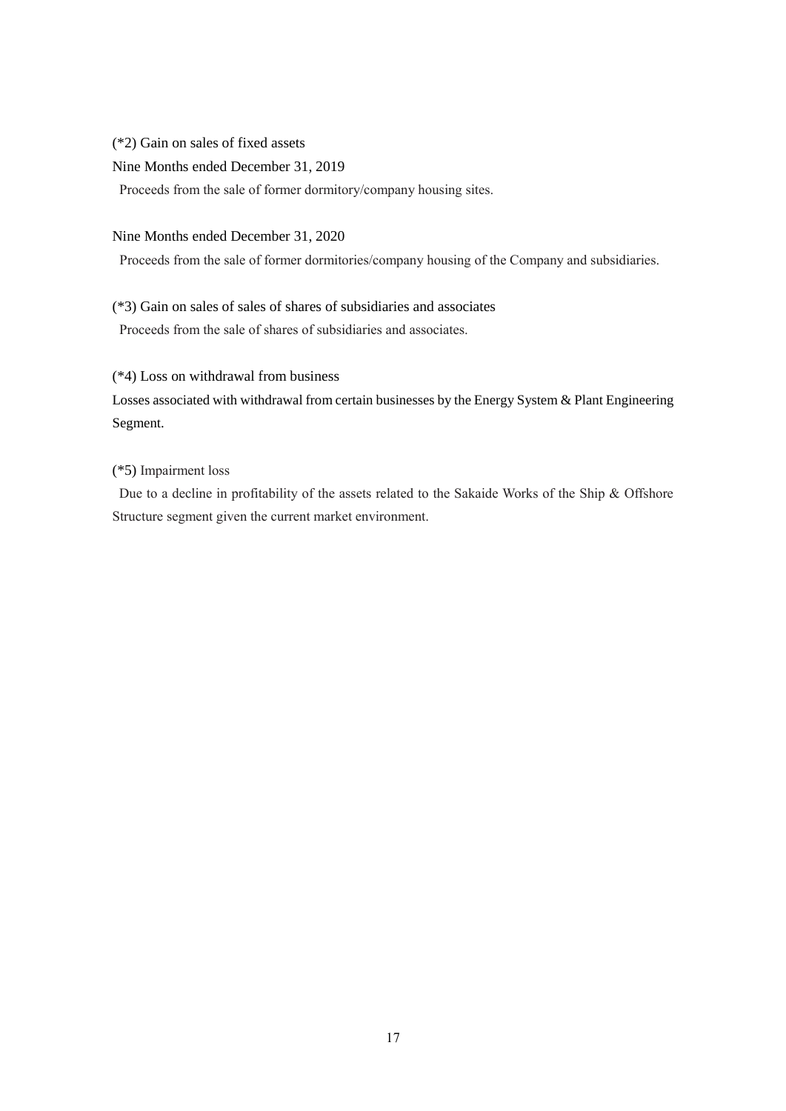(\*2) Gain on sales of fixed assets

Nine Months ended December 31, 2019

Proceeds from the sale of former dormitory/company housing sites.

## Nine Months ended December 31, 2020

Proceeds from the sale of former dormitories/company housing of the Company and subsidiaries.

(\*3) Gain on sales of sales of shares of subsidiaries and associates Proceeds from the sale of shares of subsidiaries and associates.

## (\*4) Loss on withdrawal from business

Losses associated with withdrawal from certain businesses by the Energy System & Plant Engineering Segment.

## (\*5) Impairment loss

Due to a decline in profitability of the assets related to the Sakaide Works of the Ship & Offshore Structure segment given the current market environment.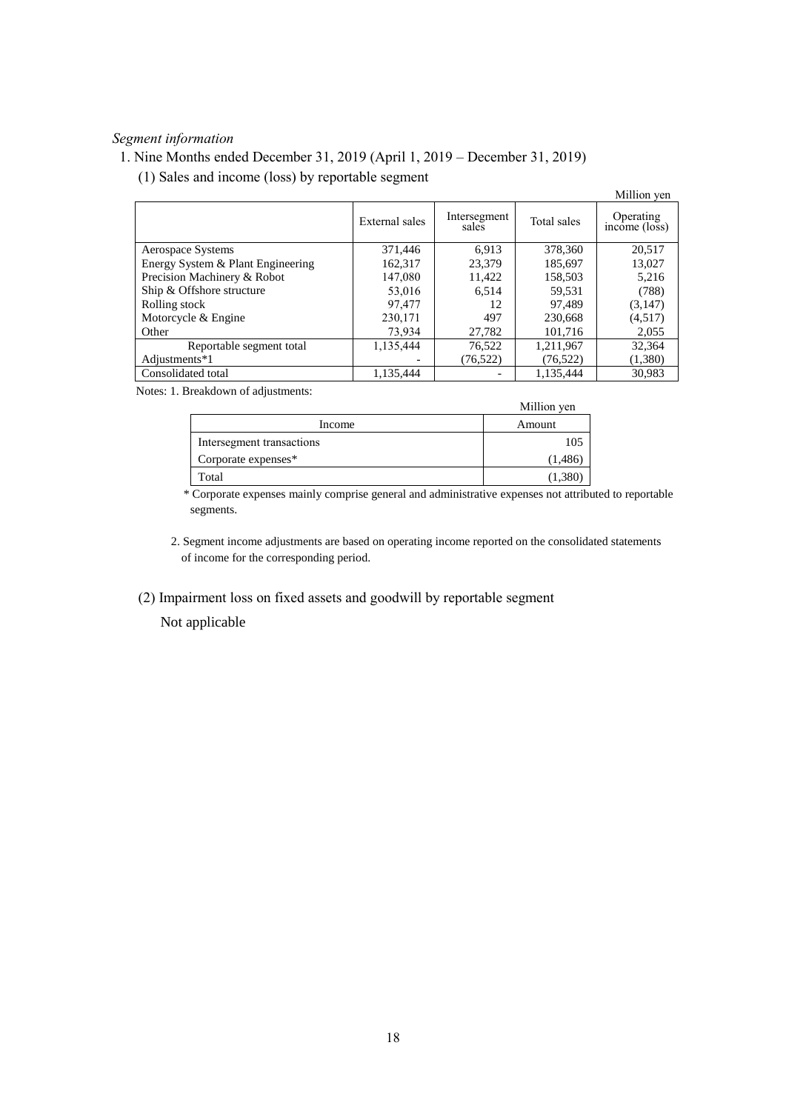# *Segment information*

## 1. Nine Months ended December 31, 2019 (April 1, 2019 – December 31, 2019)

(1) Sales and income (loss) by reportable segment

|                                   |                |                       |             | Million yen                |
|-----------------------------------|----------------|-----------------------|-------------|----------------------------|
|                                   | External sales | Intersegment<br>sales | Total sales | Operating<br>income (loss) |
| Aerospace Systems                 | 371,446        | 6.913                 | 378,360     | 20,517                     |
| Energy System & Plant Engineering | 162,317        | 23.379                | 185,697     | 13,027                     |
| Precision Machinery & Robot       | 147.080        | 11,422                | 158,503     | 5,216                      |
| Ship & Offshore structure         | 53,016         | 6.514                 | 59,531      | (788)                      |
| Rolling stock                     | 97,477         | 12                    | 97.489      | (3,147)                    |
| Motorcycle & Engine               | 230,171        | 497                   | 230.668     | (4,517)                    |
| Other                             | 73.934         | 27,782                | 101.716     | 2,055                      |
| Reportable segment total          | 1,135,444      | 76.522                | 1,211,967   | 32,364                     |
| Adjustments*1                     |                | (76, 522)             | (76, 522)   | (1,380)                    |
| Consolidated total                | 1,135,444      |                       | 1,135,444   | 30,983                     |

Notes: 1. Breakdown of adjustments:

|                           | Million yen |
|---------------------------|-------------|
| Income                    | Amount      |
| Intersegment transactions | 105         |
| Corporate expenses*       | (1,486)     |
| Total                     |             |

\* Corporate expenses mainly comprise general and administrative expenses not attributed to reportable segments.

2. Segment income adjustments are based on operating income reported on the consolidated statements of income for the corresponding period.

(2) Impairment loss on fixed assets and goodwill by reportable segment

Not applicable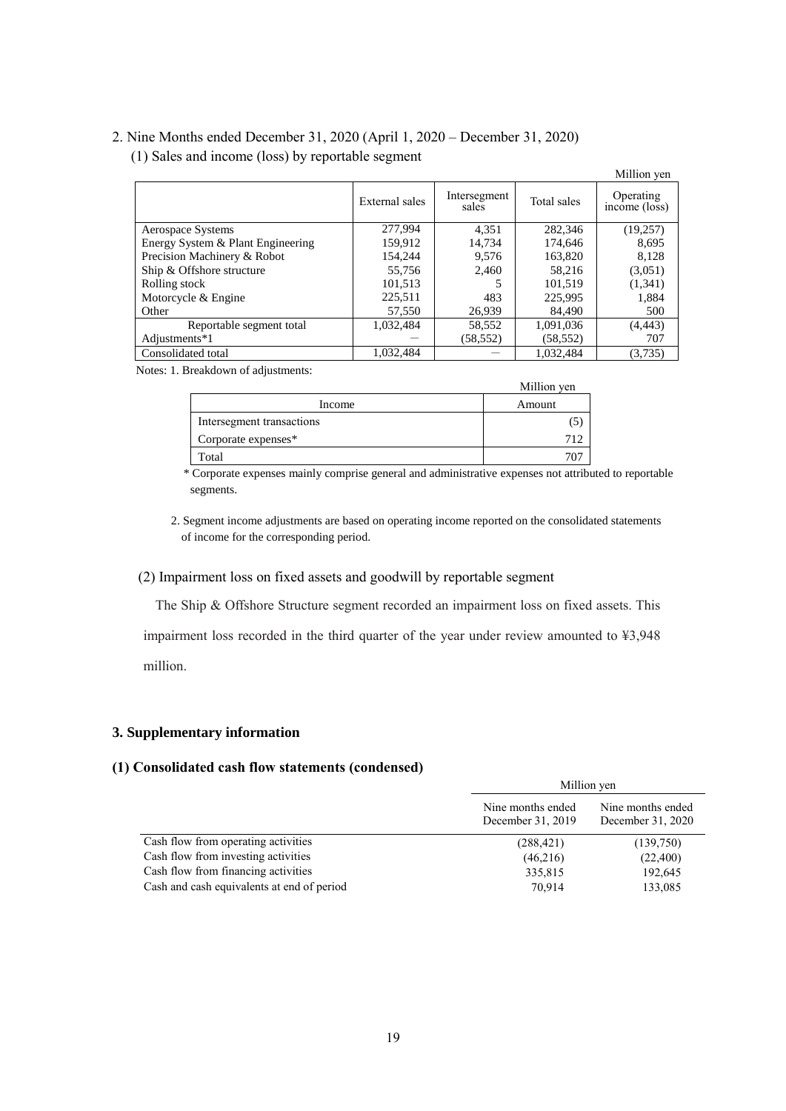# 2. Nine Months ended December 31, 2020 (April 1, 2020 – December 31, 2020)

(1) Sales and income (loss) by reportable segment

|                                   |                |                       |             | Million yen                |
|-----------------------------------|----------------|-----------------------|-------------|----------------------------|
|                                   | External sales | Intersegment<br>sales | Total sales | Operating<br>income (loss) |
| Aerospace Systems                 | 277,994        | 4.351                 | 282,346     | (19,257)                   |
| Energy System & Plant Engineering | 159.912        | 14.734                | 174.646     | 8.695                      |
| Precision Machinery & Robot       | 154.244        | 9.576                 | 163,820     | 8.128                      |
| Ship & Offshore structure         | 55.756         | 2.460                 | 58,216      | (3,051)                    |
| Rolling stock                     | 101,513        |                       | 101,519     | (1,341)                    |
| Motorcycle & Engine               | 225,511        | 483                   | 225,995     | 1,884                      |
| Other                             | 57,550         | 26.939                | 84.490      | 500                        |
| Reportable segment total          | 1,032,484      | 58,552                | 1,091,036   | (4, 443)                   |
| Adjustments*1                     |                | (58, 552)             | (58, 552)   | 707                        |
| Consolidated total                | 1.032.484      |                       | 1.032.484   | (3,735)                    |

Notes: 1. Breakdown of adjustments:

|                           | Million yen |
|---------------------------|-------------|
| Income                    | Amount      |
| Intersegment transactions |             |
| Corporate expenses*       |             |
| Total                     |             |

\* Corporate expenses mainly comprise general and administrative expenses not attributed to reportable segments.

2. Segment income adjustments are based on operating income reported on the consolidated statements of income for the corresponding period.

## (2) Impairment loss on fixed assets and goodwill by reportable segment

The Ship & Offshore Structure segment recorded an impairment loss on fixed assets. This

impairment loss recorded in the third quarter of the year under review amounted to ¥3,948

million.

## **3. Supplementary information**

## **(1) Consolidated cash flow statements (condensed)**

|                                            | Million yen                            |                                        |  |
|--------------------------------------------|----------------------------------------|----------------------------------------|--|
|                                            | Nine months ended<br>December 31, 2019 | Nine months ended<br>December 31, 2020 |  |
| Cash flow from operating activities        | (288, 421)                             | (139,750)                              |  |
| Cash flow from investing activities        | (46,216)                               | (22,400)                               |  |
| Cash flow from financing activities        | 335,815                                | 192,645                                |  |
| Cash and cash equivalents at end of period | 70.914                                 | 133,085                                |  |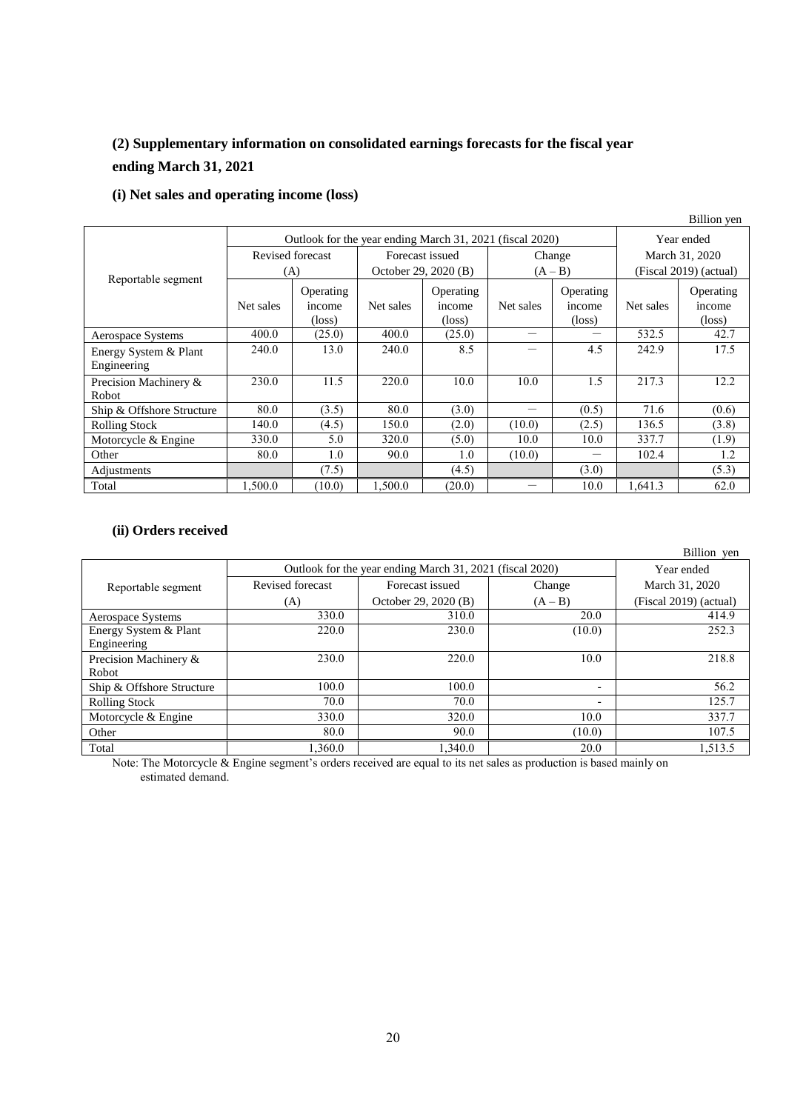# **(2) Supplementary information on consolidated earnings forecasts for the fiscal year ending March 31, 2021**

# **(i) Net sales and operating income (loss)**

|                                                          |                  |                                        |                      |                                        |                          |                                        |                        | Billion yen                            |
|----------------------------------------------------------|------------------|----------------------------------------|----------------------|----------------------------------------|--------------------------|----------------------------------------|------------------------|----------------------------------------|
| Outlook for the year ending March 31, 2021 (fiscal 2020) |                  |                                        |                      |                                        | Year ended               |                                        |                        |                                        |
|                                                          | Revised forecast |                                        | Forecast issued      |                                        | Change                   |                                        | March 31, 2020         |                                        |
|                                                          |                  | (A)                                    | October 29, 2020 (B) |                                        | $(A - B)$                |                                        | (Fiscal 2019) (actual) |                                        |
| Reportable segment                                       | Net sales        | Operating<br>income<br>$(\text{loss})$ | Net sales            | Operating<br>income<br>$(\text{loss})$ | Net sales                | Operating<br>income<br>$(\text{loss})$ | Net sales              | Operating<br>income<br>$(\text{loss})$ |
| Aerospace Systems                                        | 400.0            | (25.0)                                 | 400.0                | (25.0)                                 | $\overline{\phantom{0}}$ |                                        | 532.5                  | 42.7                                   |
| Energy System & Plant<br>Engineering                     | 240.0            | 13.0                                   | 240.0                | 8.5                                    | —                        | 4.5                                    | 242.9                  | 17.5                                   |
| Precision Machinery &<br>Robot                           | 230.0            | 11.5                                   | 220.0                | 10.0                                   | 10.0                     | 1.5                                    | 217.3                  | 12.2                                   |
| Ship & Offshore Structure                                | 80.0             | (3.5)                                  | 80.0                 | (3.0)                                  | —                        | (0.5)                                  | 71.6                   | (0.6)                                  |
| <b>Rolling Stock</b>                                     | 140.0            | (4.5)                                  | 150.0                | (2.0)                                  | (10.0)                   | (2.5)                                  | 136.5                  | (3.8)                                  |
| Motorcycle & Engine                                      | 330.0            | 5.0                                    | 320.0                | (5.0)                                  | 10.0                     | 10.0                                   | 337.7                  | (1.9)                                  |
| Other                                                    | 80.0             | 1.0                                    | 90.0                 | 1.0                                    | (10.0)                   |                                        | 102.4                  | 1.2                                    |
| Adjustments                                              |                  | (7.5)                                  |                      | (4.5)                                  |                          | (3.0)                                  |                        | (5.3)                                  |
| Total                                                    | 1.500.0          | (10.0)                                 | 1,500.0              | (20.0)                                 |                          | 10.0                                   | 1.641.3                | 62.0                                   |

# **(ii) Orders received**

|                           |                  |                                                          |                          | Billion yen            |
|---------------------------|------------------|----------------------------------------------------------|--------------------------|------------------------|
|                           |                  | Outlook for the year ending March 31, 2021 (fiscal 2020) |                          | Year ended             |
| Reportable segment        | Revised forecast | Forecast issued                                          | Change                   | March 31, 2020         |
|                           | (A)              | October 29, 2020 (B)                                     | $(A - B)$                | (Fiscal 2019) (actual) |
| Aerospace Systems         | 330.0            | 310.0                                                    | 20.0                     | 414.9                  |
| Energy System & Plant     | 220.0            | 230.0                                                    | (10.0)                   | 252.3                  |
| Engineering               |                  |                                                          |                          |                        |
| Precision Machinery &     | 230.0            | 220.0                                                    | 10.0                     | 218.8                  |
| Robot                     |                  |                                                          |                          |                        |
| Ship & Offshore Structure | 100.0            | 100.0                                                    | $\overline{\phantom{a}}$ | 56.2                   |
| <b>Rolling Stock</b>      | 70.0             | 70.0                                                     | $\overline{\phantom{0}}$ | 125.7                  |
| Motorcycle & Engine       | 330.0            | 320.0                                                    | 10.0                     | 337.7                  |
| Other                     | 80.0             | 90.0                                                     | (10.0)                   | 107.5                  |
| Total                     | 1.360.0          | 1,340.0                                                  | 20.0                     | 1.513.5                |

Note: The Motorcycle & Engine segment's orders received are equal to its net sales as production is based mainly on estimated demand.